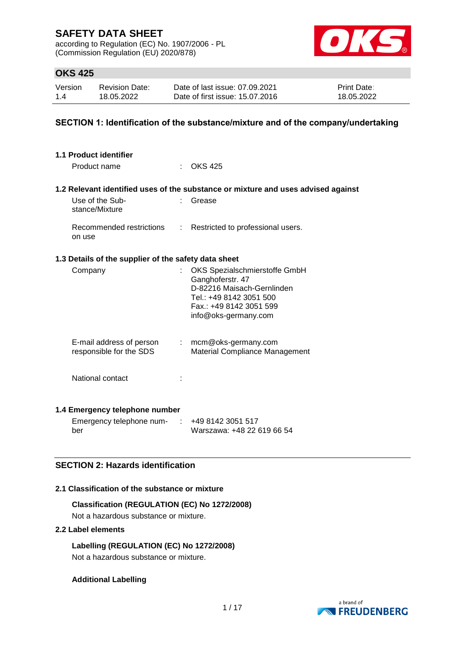according to Regulation (EC) No. 1907/2006 - PL (Commission Regulation (EU) 2020/878)



## **OKS 425**

| Version | <b>Revision Date:</b> | Date of last issue: 07.09.2021  | <b>Print Date:</b> |
|---------|-----------------------|---------------------------------|--------------------|
| 1.4     | 18.05.2022            | Date of first issue: 15.07.2016 | 18.05.2022         |

### **SECTION 1: Identification of the substance/mixture and of the company/undertaking**

| 1.1 Product identifier<br>Product name               |                             | $\therefore$ OKS 425                                                                                                                                          |
|------------------------------------------------------|-----------------------------|---------------------------------------------------------------------------------------------------------------------------------------------------------------|
|                                                      |                             | 1.2 Relevant identified uses of the substance or mixture and uses advised against                                                                             |
| Use of the Sub-<br>stance/Mixture                    |                             | Grease                                                                                                                                                        |
| Recommended restrictions<br>on use                   | $\mathcal{L}^{\mathcal{L}}$ | Restricted to professional users.                                                                                                                             |
| 1.3 Details of the supplier of the safety data sheet |                             |                                                                                                                                                               |
| Company                                              |                             | OKS Spezialschmierstoffe GmbH<br>Ganghoferstr. 47<br>D-82216 Maisach-Gernlinden<br>Tel.: +49 8142 3051 500<br>Fax.: +49 8142 3051 599<br>info@oks-germany.com |
| E-mail address of person<br>responsible for the SDS  |                             | : mcm@oks-germany.com<br><b>Material Compliance Management</b>                                                                                                |
| National contact                                     |                             |                                                                                                                                                               |
| 1.4 Emergency telephone number                       |                             |                                                                                                                                                               |

| Emergency telephone num- | +49 8142 3051 517          |
|--------------------------|----------------------------|
| ber                      | Warszawa: +48 22 619 66 54 |

## **SECTION 2: Hazards identification**

### **2.1 Classification of the substance or mixture**

**Classification (REGULATION (EC) No 1272/2008)** Not a hazardous substance or mixture.

### **2.2 Label elements**

**Labelling (REGULATION (EC) No 1272/2008)** Not a hazardous substance or mixture.

### **Additional Labelling**

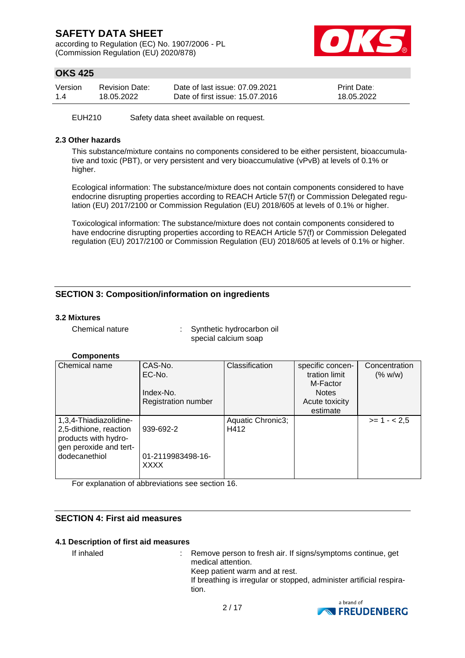according to Regulation (EC) No. 1907/2006 - PL (Commission Regulation (EU) 2020/878)



# **OKS 425**

| Version | <b>Revision Date:</b> | Date of last issue: 07.09.2021  | <b>Print Date:</b> |
|---------|-----------------------|---------------------------------|--------------------|
| 1.4     | 18.05.2022            | Date of first issue: 15.07.2016 | 18.05.2022         |

EUH210 Safety data sheet available on request.

### **2.3 Other hazards**

This substance/mixture contains no components considered to be either persistent, bioaccumulative and toxic (PBT), or very persistent and very bioaccumulative (vPvB) at levels of 0.1% or higher.

Ecological information: The substance/mixture does not contain components considered to have endocrine disrupting properties according to REACH Article 57(f) or Commission Delegated regulation (EU) 2017/2100 or Commission Regulation (EU) 2018/605 at levels of 0.1% or higher.

Toxicological information: The substance/mixture does not contain components considered to have endocrine disrupting properties according to REACH Article 57(f) or Commission Delegated regulation (EU) 2017/2100 or Commission Regulation (EU) 2018/605 at levels of 0.1% or higher.

## **SECTION 3: Composition/information on ingredients**

### **3.2 Mixtures**

Chemical nature : Synthetic hydrocarbon oil special calcium soap

### **Components**

| Chemical name                                                                                                       | CAS-No.<br>EC-No.<br>Index-No.<br><b>Registration number</b> | Classification            | specific concen-<br>tration limit<br>M-Factor<br><b>Notes</b><br>Acute toxicity<br>estimate | Concentration<br>(% w/w) |
|---------------------------------------------------------------------------------------------------------------------|--------------------------------------------------------------|---------------------------|---------------------------------------------------------------------------------------------|--------------------------|
| 1,3,4-Thiadiazolidine-<br>2,5-dithione, reaction<br>products with hydro-<br>gen peroxide and tert-<br>dodecanethiol | 939-692-2<br>01-2119983498-16-<br><b>XXXX</b>                | Aquatic Chronic3;<br>H412 |                                                                                             | $>= 1 - 2.5$             |

For explanation of abbreviations see section 16.

## **SECTION 4: First aid measures**

#### **4.1 Description of first aid measures**

If inhaled : Remove person to fresh air. If signs/symptoms continue, get medical attention. Keep patient warm and at rest. If breathing is irregular or stopped, administer artificial respiration.

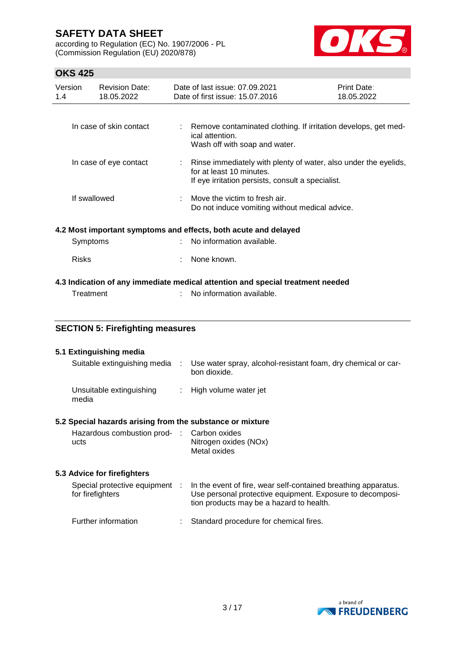according to Regulation (EC) No. 1907/2006 - PL (Commission Regulation (EU) 2020/878)



# **OKS 425**

| Version<br>1.4 | <b>Revision Date:</b><br>18.05.2022 | Date of last issue: 07.09.2021<br>Date of first issue: 15.07.2016                                                                                  | Print Date:<br>18.05.2022 |
|----------------|-------------------------------------|----------------------------------------------------------------------------------------------------------------------------------------------------|---------------------------|
|                |                                     |                                                                                                                                                    |                           |
|                | In case of skin contact             | : Remove contaminated clothing. If irritation develops, get med-<br>ical attention.<br>Wash off with soap and water.                               |                           |
|                | In case of eye contact              | : Rinse immediately with plenty of water, also under the eyelids,<br>for at least 10 minutes.<br>If eye irritation persists, consult a specialist. |                           |
|                | If swallowed                        | Move the victim to fresh air.<br>Do not induce vomiting without medical advice.                                                                    |                           |
|                |                                     | 4.2 Most important symptoms and effects, both acute and delayed                                                                                    |                           |
|                | Symptoms                            | : No information available.                                                                                                                        |                           |
| <b>Risks</b>   |                                     | None known.                                                                                                                                        |                           |
|                |                                     | 4.3 Indication of any immediate medical attention and special treatment needed                                                                     |                           |
|                | Treatment                           | No information available.                                                                                                                          |                           |

## **SECTION 5: Firefighting measures**

#### **5.1 Extinguishing media**

| Suitable extinguishing media      | Use water spray, alcohol-resistant foam, dry chemical or car-<br>bon dioxide. |
|-----------------------------------|-------------------------------------------------------------------------------|
| Unsuitable extinguishing<br>media | : High volume water jet                                                       |

#### **5.2 Special hazards arising from the substance or mixture**

| Hazardous combustion prod- : Carbon oxides |                       |
|--------------------------------------------|-----------------------|
| ucts                                       | Nitrogen oxides (NOx) |
|                                            | Metal oxides          |

#### **5.3 Advice for firefighters**

| Special protective equipment<br>for firefighters | In the event of fire, wear self-contained breathing apparatus.<br>Use personal protective equipment. Exposure to decomposi-<br>tion products may be a hazard to health. |
|--------------------------------------------------|-------------------------------------------------------------------------------------------------------------------------------------------------------------------------|
| Further information                              | Standard procedure for chemical fires.                                                                                                                                  |

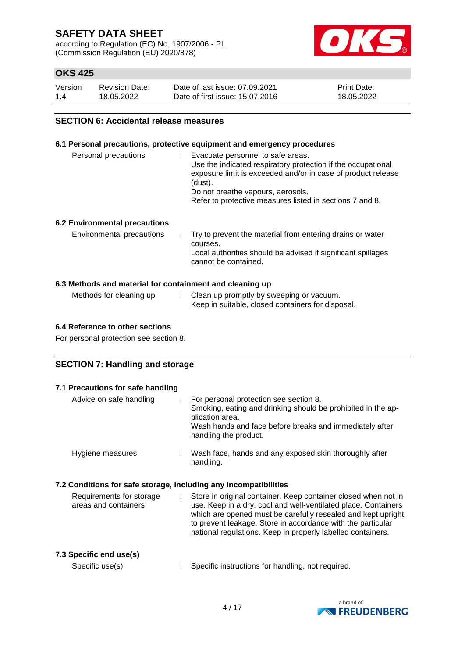according to Regulation (EC) No. 1907/2006 - PL (Commission Regulation (EU) 2020/878)



# **OKS 425**

| Version | <b>Revision Date:</b> | Date of last issue: 07.09.2021  | <b>Print Date:</b> |
|---------|-----------------------|---------------------------------|--------------------|
| 1.4     | 18.05.2022            | Date of first issue: 15.07.2016 | 18.05.2022         |

### **SECTION 6: Accidental release measures**

#### **6.1 Personal precautions, protective equipment and emergency procedures**

| Personal precautions | Evacuate personnel to safe areas.<br>Use the indicated respiratory protection if the occupational<br>exposure limit is exceeded and/or in case of product release<br>(dust).<br>Do not breathe vapours, aerosols.<br>Refer to protective measures listed in sections 7 and 8. |
|----------------------|-------------------------------------------------------------------------------------------------------------------------------------------------------------------------------------------------------------------------------------------------------------------------------|
|                      |                                                                                                                                                                                                                                                                               |

### **6.2 Environmental precautions**

| Environmental precautions | . Try to prevent the material from entering drains or water<br>courses.<br>Local authorities should be advised if significant spillages<br>cannot be contained. |
|---------------------------|-----------------------------------------------------------------------------------------------------------------------------------------------------------------|
|                           |                                                                                                                                                                 |

### **6.3 Methods and material for containment and cleaning up**

| Methods for cleaning up | Clean up promptly by sweeping or vacuum.          |
|-------------------------|---------------------------------------------------|
|                         | Keep in suitable, closed containers for disposal. |

#### **6.4 Reference to other sections**

For personal protection see section 8.

### **SECTION 7: Handling and storage**

| 7.1 Precautions for safe handling                                               |                                                                                                                                                                                                                                                                                                                                |
|---------------------------------------------------------------------------------|--------------------------------------------------------------------------------------------------------------------------------------------------------------------------------------------------------------------------------------------------------------------------------------------------------------------------------|
| Advice on safe handling<br>÷.                                                   | For personal protection see section 8.<br>Smoking, eating and drinking should be prohibited in the ap-<br>plication area.<br>Wash hands and face before breaks and immediately after<br>handling the product.                                                                                                                  |
| Hygiene measures                                                                | Wash face, hands and any exposed skin thoroughly after<br>handling.                                                                                                                                                                                                                                                            |
| 7.2 Conditions for safe storage, including any incompatibilities                |                                                                                                                                                                                                                                                                                                                                |
| Requirements for storage<br>$\mathcal{L}^{\mathcal{L}}$<br>areas and containers | Store in original container. Keep container closed when not in<br>use. Keep in a dry, cool and well-ventilated place. Containers<br>which are opened must be carefully resealed and kept upright<br>to prevent leakage. Store in accordance with the particular<br>national regulations. Keep in properly labelled containers. |
| 7.3 Specific end use(s)<br>Specific use(s)                                      | Specific instructions for handling, not required.                                                                                                                                                                                                                                                                              |
|                                                                                 |                                                                                                                                                                                                                                                                                                                                |

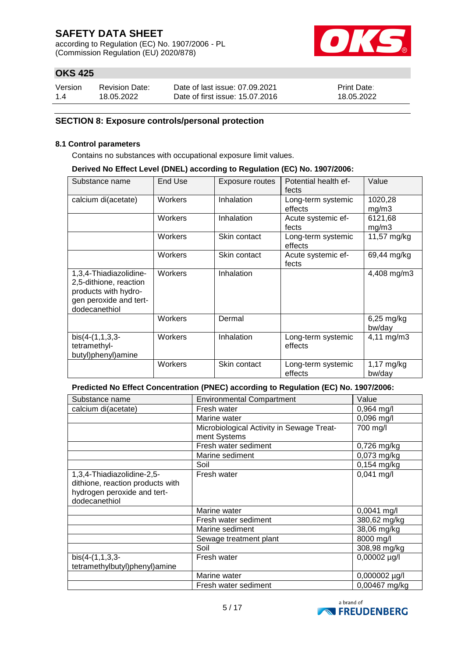according to Regulation (EC) No. 1907/2006 - PL (Commission Regulation (EU) 2020/878)



# **OKS 425**

| Version | <b>Revision Date:</b> | Date of last issue: 07.09.2021  | <b>Print Date:</b> |
|---------|-----------------------|---------------------------------|--------------------|
| 1.4     | 18.05.2022            | Date of first issue: 15.07.2016 | 18.05.2022         |

### **SECTION 8: Exposure controls/personal protection**

#### **8.1 Control parameters**

Contains no substances with occupational exposure limit values.

#### **Derived No Effect Level (DNEL) according to Regulation (EC) No. 1907/2006:**

| Substance name                                                                                                      | End Use | Exposure routes | Potential health ef-<br>fects | Value                  |
|---------------------------------------------------------------------------------------------------------------------|---------|-----------------|-------------------------------|------------------------|
| calcium di(acetate)                                                                                                 | Workers | Inhalation      | Long-term systemic<br>effects | 1020,28<br>mg/m3       |
|                                                                                                                     | Workers | Inhalation      | Acute systemic ef-<br>fects   | 6121,68<br>mg/m3       |
|                                                                                                                     | Workers | Skin contact    | Long-term systemic<br>effects | 11,57 mg/kg            |
|                                                                                                                     | Workers | Skin contact    | Acute systemic ef-<br>fects   | 69,44 mg/kg            |
| 1,3,4-Thiadiazolidine-<br>2,5-dithione, reaction<br>products with hydro-<br>gen peroxide and tert-<br>dodecanethiol | Workers | Inhalation      |                               | 4,408 mg/m3            |
|                                                                                                                     | Workers | Dermal          |                               | $6,25$ mg/kg<br>bw/day |
| $bis(4-(1,1,3,3-$<br>tetramethyl-<br>butyl)phenyl)amine                                                             | Workers | Inhalation      | Long-term systemic<br>effects | $4,11 \, \text{mg/m3}$ |
|                                                                                                                     | Workers | Skin contact    | Long-term systemic<br>effects | $1,17$ mg/kg<br>bw/day |

**Predicted No Effect Concentration (PNEC) according to Regulation (EC) No. 1907/2006:**

| Substance name                                                                                                 | <b>Environmental Compartment</b>          | Value             |
|----------------------------------------------------------------------------------------------------------------|-------------------------------------------|-------------------|
| calcium di(acetate)                                                                                            | Fresh water                               | $0,964$ mg/l      |
|                                                                                                                | Marine water                              | $0,096$ mg/l      |
|                                                                                                                | Microbiological Activity in Sewage Treat- | 700 mg/l          |
|                                                                                                                | ment Systems                              |                   |
|                                                                                                                | Fresh water sediment                      | 0,726 mg/kg       |
|                                                                                                                | Marine sediment                           | $0,073$ mg/kg     |
|                                                                                                                | Soil                                      | 0,154 mg/kg       |
| 1,3,4-Thiadiazolidine-2,5-<br>dithione, reaction products with<br>hydrogen peroxide and tert-<br>dodecanethiol | Fresh water                               | $0,041$ mg/l      |
|                                                                                                                | Marine water                              | 0,0041 mg/l       |
|                                                                                                                | Fresh water sediment                      | 380,62 mg/kg      |
|                                                                                                                | Marine sediment                           | 38,06 mg/kg       |
|                                                                                                                | Sewage treatment plant                    | 8000 mg/l         |
|                                                                                                                | Soil                                      | 308,98 mg/kg      |
| $bis(4-(1,1,3,3-$                                                                                              | Fresh water                               | $0,00002 \mu g/l$ |
| tetramethylbutyl)phenyl)amine                                                                                  |                                           |                   |
|                                                                                                                | Marine water                              | 0,000002 µg/l     |
|                                                                                                                | Fresh water sediment                      | 0,00467 mg/kg     |

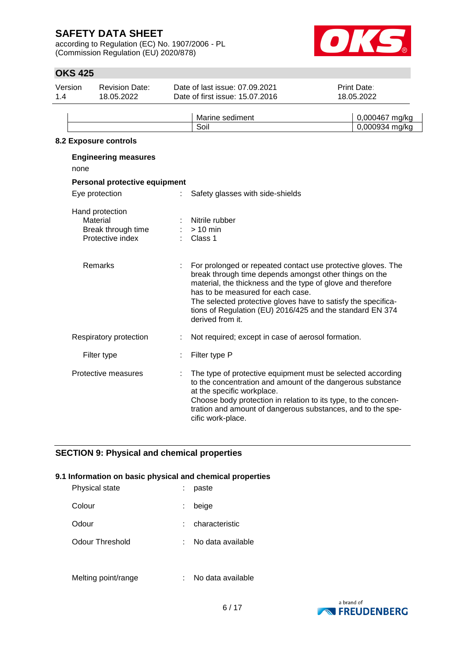according to Regulation (EC) No. 1907/2006 - PL (Commission Regulation (EU) 2020/878)



# **OKS 425**

| Version<br>1.4 | <b>Revision Date:</b><br>18.05.2022                                   | Date of last issue: 07.09.2021<br>Date of first issue: 15.07.2016                                                                                                                                                                                                                                                                                                            | <b>Print Date:</b><br>18.05.2022 |
|----------------|-----------------------------------------------------------------------|------------------------------------------------------------------------------------------------------------------------------------------------------------------------------------------------------------------------------------------------------------------------------------------------------------------------------------------------------------------------------|----------------------------------|
|                |                                                                       | Marine sediment<br>Soil                                                                                                                                                                                                                                                                                                                                                      | 0,000467 mg/kg                   |
|                | 8.2 Exposure controls                                                 |                                                                                                                                                                                                                                                                                                                                                                              | 0,000934 mg/kg                   |
| none           | <b>Engineering measures</b>                                           |                                                                                                                                                                                                                                                                                                                                                                              |                                  |
|                | Personal protective equipment                                         |                                                                                                                                                                                                                                                                                                                                                                              |                                  |
|                | Eye protection                                                        | Safety glasses with side-shields                                                                                                                                                                                                                                                                                                                                             |                                  |
|                | Hand protection<br>Material<br>Break through time<br>Protective index | Nitrile rubber<br>$> 10$ min<br>Class 1                                                                                                                                                                                                                                                                                                                                      |                                  |
|                | Remarks                                                               | For prolonged or repeated contact use protective gloves. The<br>break through time depends amongst other things on the<br>material, the thickness and the type of glove and therefore<br>has to be measured for each case.<br>The selected protective gloves have to satisfy the specifica-<br>tions of Regulation (EU) 2016/425 and the standard EN 374<br>derived from it. |                                  |
|                | Respiratory protection                                                | Not required; except in case of aerosol formation.                                                                                                                                                                                                                                                                                                                           |                                  |
|                | Filter type                                                           | Filter type P                                                                                                                                                                                                                                                                                                                                                                |                                  |
|                | Protective measures                                                   | The type of protective equipment must be selected according<br>to the concentration and amount of the dangerous substance<br>at the specific workplace.<br>Choose body protection in relation to its type, to the concen-<br>tration and amount of dangerous substances, and to the spe-<br>cific work-place.                                                                |                                  |

## **SECTION 9: Physical and chemical properties**

### **9.1 Information on basic physical and chemical properties**

| Physical state  |    | paste             |
|-----------------|----|-------------------|
| Colour          | ÷. | beige             |
| Odour           |    | characteristic    |
| Odour Threshold |    | No data available |
|                 |    |                   |



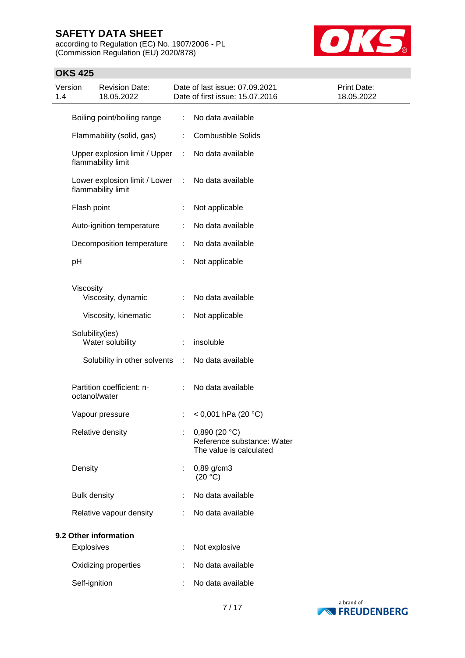according to Regulation (EC) No. 1907/2006 - PL (Commission Regulation (EU) 2020/878)



## **OKS 425**

| Version<br>1.4 | <b>Revision Date:</b><br>18.05.2022                 | Date of last issue: 07.09.2021<br>Date of first issue: 15.07.2016     | Print Date:<br>18.05.2022 |
|----------------|-----------------------------------------------------|-----------------------------------------------------------------------|---------------------------|
|                | Boiling point/boiling range                         | No data available<br>÷                                                |                           |
|                | Flammability (solid, gas)                           | <b>Combustible Solids</b><br>÷                                        |                           |
|                | Upper explosion limit / Upper<br>flammability limit | No data available<br>÷                                                |                           |
|                | Lower explosion limit / Lower<br>flammability limit | No data available<br>÷                                                |                           |
|                | Flash point                                         | Not applicable<br>÷                                                   |                           |
|                | Auto-ignition temperature                           | No data available                                                     |                           |
|                | Decomposition temperature                           | No data available<br>÷                                                |                           |
|                | pH                                                  | Not applicable                                                        |                           |
|                | Viscosity                                           |                                                                       |                           |
|                | Viscosity, dynamic                                  | No data available                                                     |                           |
|                | Viscosity, kinematic                                | Not applicable<br>÷                                                   |                           |
|                | Solubility(ies)<br>Water solubility                 | insoluble                                                             |                           |
|                | Solubility in other solvents                        | No data available<br>÷                                                |                           |
|                | Partition coefficient: n-<br>octanol/water          | No data available                                                     |                           |
|                | Vapour pressure                                     | < 0,001 hPa (20 $^{\circ}$ C)                                         |                           |
|                | Relative density                                    | 0,890(20 °C)<br>Reference substance: Water<br>The value is calculated |                           |
|                | Density                                             | $0,89$ g/cm3<br>÷<br>(20 °C)                                          |                           |
|                | <b>Bulk density</b>                                 | No data available                                                     |                           |
|                | Relative vapour density                             | No data available                                                     |                           |
|                | 9.2 Other information                               |                                                                       |                           |
|                | <b>Explosives</b>                                   | Not explosive                                                         |                           |
|                | Oxidizing properties                                | No data available                                                     |                           |
|                | Self-ignition                                       | No data available                                                     |                           |

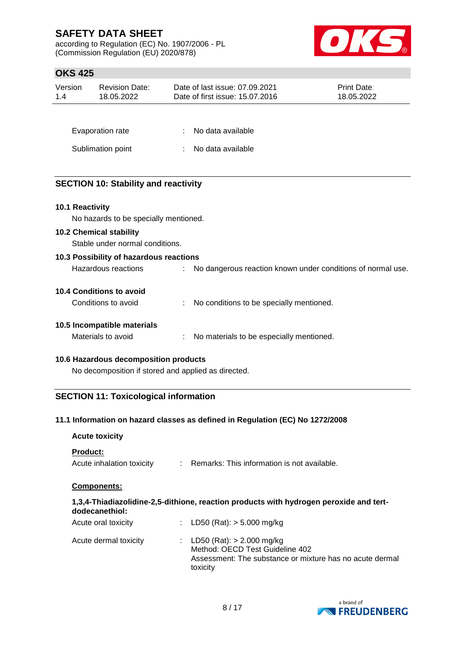according to Regulation (EC) No. 1907/2006 - PL (Commission Regulation (EU) 2020/878)



# **OKS 425**

| Version<br>1.4  | <b>Revision Date:</b><br>18.05.2022         | Date of last issue: 07.09.2021<br>Date of first issue: 15.07.2016 | Print Date:<br>18.05.2022 |
|-----------------|---------------------------------------------|-------------------------------------------------------------------|---------------------------|
|                 |                                             |                                                                   |                           |
|                 | Evaporation rate                            | No data available                                                 |                           |
|                 | Sublimation point                           | No data available                                                 |                           |
|                 |                                             |                                                                   |                           |
|                 | <b>SECTION 10: Stability and reactivity</b> |                                                                   |                           |
| 10.1 Reactivity |                                             |                                                                   |                           |
|                 | No hazards to be specially mentioned.       |                                                                   |                           |
|                 | <b>10.2 Chemical stability</b>              |                                                                   |                           |
|                 | Stable under normal conditions.             |                                                                   |                           |
|                 | 10.3 Possibility of hazardous reactions     |                                                                   |                           |
|                 | Hazardous reactions                         | No dangerous reaction known under conditions of normal use.       |                           |
|                 | <b>10.4 Conditions to avoid</b>             |                                                                   |                           |
|                 | Conditions to avoid                         | No conditions to be specially mentioned.                          |                           |
|                 | 10.5 Incompatible materials                 |                                                                   |                           |
|                 | Materials to avoid                          | No materials to be especially mentioned.                          |                           |

### **10.6 Hazardous decomposition products**

No decomposition if stored and applied as directed.

## **SECTION 11: Toxicological information**

### **11.1 Information on hazard classes as defined in Regulation (EC) No 1272/2008**

| <b>Acute toxicity</b>                        |    |                                                                                                                                        |
|----------------------------------------------|----|----------------------------------------------------------------------------------------------------------------------------------------|
| <b>Product:</b><br>Acute inhalation toxicity | t. | Remarks: This information is not available.                                                                                            |
| <b>Components:</b>                           |    |                                                                                                                                        |
| dodecanethiol:                               |    | 1,3,4-Thiadiazolidine-2,5-dithione, reaction products with hydrogen peroxide and tert-                                                 |
| Acute oral toxicity                          | ÷  | LD50 (Rat): $>$ 5.000 mg/kg                                                                                                            |
| Acute dermal toxicity                        | t. | LD50 (Rat): $> 2.000$ mg/kg<br>Method: OECD Test Guideline 402<br>Assessment: The substance or mixture has no acute dermal<br>toxicity |

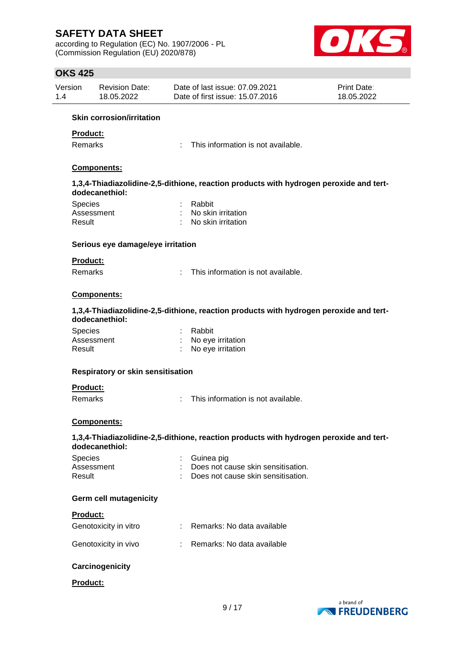according to Regulation (EC) No. 1907/2006 - PL (Commission Regulation (EU) 2020/878)



## **OKS 425**

| Version | <b>Revision Date:</b> | Date of last issue: 07.09.2021  | <b>Print Date:</b> |
|---------|-----------------------|---------------------------------|--------------------|
| 1.4     | 18.05.2022            | Date of first issue: 15.07.2016 | 18.05.2022         |

#### **Skin corrosion/irritation**

#### **Product:**

Remarks : This information is not available.

### **Components:**

#### **1,3,4-Thiadiazolidine-2,5-dithione, reaction products with hydrogen peroxide and tertdodecanethiol:**

| <b>Species</b> | : Rabbit             |
|----------------|----------------------|
| Assessment     | : No skin irritation |
| Result         | : No skin irritation |

#### **Serious eye damage/eye irritation**

### **Product:**

Remarks : This information is not available.

## **Components:**

#### **1,3,4-Thiadiazolidine-2,5-dithione, reaction products with hydrogen peroxide and tertdodecanethiol:**

| <b>Species</b> | : Rabbit            |
|----------------|---------------------|
| Assessment     | : No eye irritation |
| Result         | No eye irritation   |

#### **Respiratory or skin sensitisation**

#### **Product:**

Remarks : This information is not available.

### **Components:**

#### **1,3,4-Thiadiazolidine-2,5-dithione, reaction products with hydrogen peroxide and tertdodecanethiol:**

| <b>Species</b> | : Guinea pig                         |
|----------------|--------------------------------------|
| Assessment     | : Does not cause skin sensitisation. |
| Result         | : Does not cause skin sensitisation. |

#### **Germ cell mutagenicity**

#### **Product:**

| Genotoxicity in vitro | Remarks: No data available   |
|-----------------------|------------------------------|
| Genotoxicity in vivo  | : Remarks: No data available |

### **Carcinogenicity**

#### **Product:**

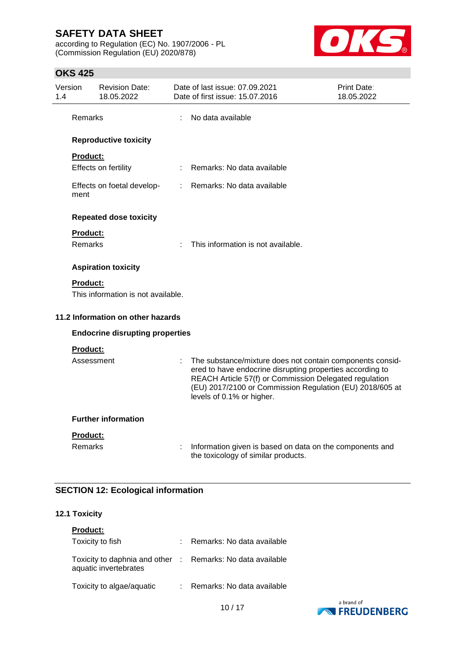according to Regulation (EC) No. 1907/2006 - PL (Commission Regulation (EU) 2020/878)



## **OKS 425**

| 1.4 | Version         | <b>Revision Date:</b><br>18.05.2022    |                           | Date of last issue: 07.09.2021<br>Date of first issue: 15.07.2016                                                                                                                                                                                                         | Print Date:<br>18.05.2022 |
|-----|-----------------|----------------------------------------|---------------------------|---------------------------------------------------------------------------------------------------------------------------------------------------------------------------------------------------------------------------------------------------------------------------|---------------------------|
|     | Remarks         |                                        | ÷                         | No data available                                                                                                                                                                                                                                                         |                           |
|     |                 | <b>Reproductive toxicity</b>           |                           |                                                                                                                                                                                                                                                                           |                           |
|     | <b>Product:</b> |                                        |                           |                                                                                                                                                                                                                                                                           |                           |
|     |                 | Effects on fertility                   |                           | Remarks: No data available                                                                                                                                                                                                                                                |                           |
|     | ment            | Effects on foetal develop-             | $\mathbb{R}^{\mathbb{Z}}$ | Remarks: No data available                                                                                                                                                                                                                                                |                           |
|     |                 | <b>Repeated dose toxicity</b>          |                           |                                                                                                                                                                                                                                                                           |                           |
|     | <b>Product:</b> |                                        |                           |                                                                                                                                                                                                                                                                           |                           |
|     | <b>Remarks</b>  |                                        |                           | This information is not available.                                                                                                                                                                                                                                        |                           |
|     |                 | <b>Aspiration toxicity</b>             |                           |                                                                                                                                                                                                                                                                           |                           |
|     | <b>Product:</b> |                                        |                           |                                                                                                                                                                                                                                                                           |                           |
|     |                 | This information is not available.     |                           |                                                                                                                                                                                                                                                                           |                           |
|     |                 | 11.2 Information on other hazards      |                           |                                                                                                                                                                                                                                                                           |                           |
|     |                 | <b>Endocrine disrupting properties</b> |                           |                                                                                                                                                                                                                                                                           |                           |
|     | Product:        |                                        |                           |                                                                                                                                                                                                                                                                           |                           |
|     | Assessment      |                                        |                           | The substance/mixture does not contain components consid-<br>ered to have endocrine disrupting properties according to<br>REACH Article 57(f) or Commission Delegated regulation<br>(EU) 2017/2100 or Commission Regulation (EU) 2018/605 at<br>levels of 0.1% or higher. |                           |
|     |                 | <b>Further information</b>             |                           |                                                                                                                                                                                                                                                                           |                           |
|     | <b>Product:</b> |                                        |                           |                                                                                                                                                                                                                                                                           |                           |
|     | <b>Remarks</b>  |                                        |                           | Information given is based on data on the components and<br>the toxicology of similar products.                                                                                                                                                                           |                           |

# **SECTION 12: Ecological information**

#### **12.1 Toxicity**

| <b>Product:</b>                                                                     |                              |
|-------------------------------------------------------------------------------------|------------------------------|
| Toxicity to fish                                                                    | : Remarks: No data available |
| Toxicity to daphnia and other : Remarks: No data available<br>aquatic invertebrates |                              |
| Toxicity to algae/aquatic                                                           | : Remarks: No data available |

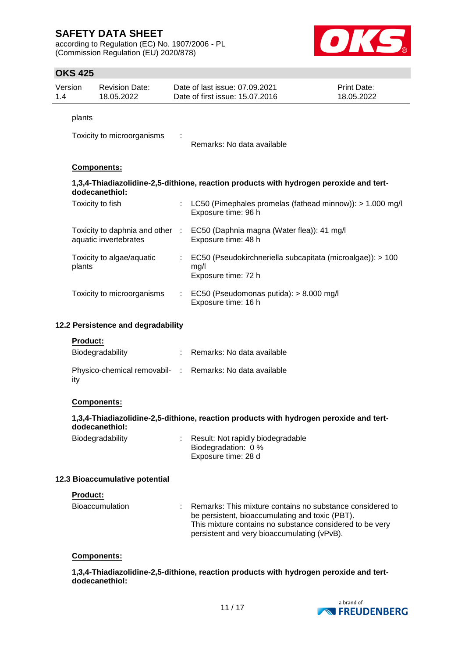according to Regulation (EC) No. 1907/2006 - PL (Commission Regulation (EU) 2020/878)



|     | <b>OKS 425</b>  |                                                          |                                                                                           |                           |
|-----|-----------------|----------------------------------------------------------|-------------------------------------------------------------------------------------------|---------------------------|
| 1.4 | Version         | <b>Revision Date:</b><br>18.05.2022                      | Date of last issue: 07.09.2021<br>Date of first issue: 15.07.2016                         | Print Date:<br>18.05.2022 |
|     | plants          |                                                          |                                                                                           |                           |
|     |                 | Toxicity to microorganisms                               | Remarks: No data available                                                                |                           |
|     |                 | Components:                                              |                                                                                           |                           |
|     |                 | dodecanethiol:                                           | 1,3,4-Thiadiazolidine-2,5-dithione, reaction products with hydrogen peroxide and tert-    |                           |
|     |                 | Toxicity to fish                                         | LC50 (Pimephales promelas (fathead minnow)): > 1.000 mg/l<br>Exposure time: 96 h          |                           |
|     |                 | Toxicity to daphnia and other :<br>aquatic invertebrates | EC50 (Daphnia magna (Water flea)): 41 mg/l<br>Exposure time: 48 h                         |                           |
|     | plants          | Toxicity to algae/aquatic                                | EC50 (Pseudokirchneriella subcapitata (microalgae)): > 100<br>mg/l<br>Exposure time: 72 h |                           |
|     |                 | Toxicity to microorganisms                               | EC50 (Pseudomonas putida): > 8.000 mg/l<br>Exposure time: 16 h                            |                           |
|     |                 | 12.2 Persistence and degradability                       |                                                                                           |                           |
|     | <b>Product:</b> |                                                          |                                                                                           |                           |
|     |                 | Biodegradability                                         | Remarks: No data available                                                                |                           |
|     | ity             |                                                          | Physico-chemical removabil- : Remarks: No data available                                  |                           |
|     |                 | Components:                                              |                                                                                           |                           |
|     |                 | dodecanethiol:                                           | 1,3,4-Thiadiazolidine-2,5-dithione, reaction products with hydrogen peroxide and tert-    |                           |
|     |                 | Biodegradability                                         | Result: Not rapidly biodegradable<br>Biodegradation: 0 %<br>Exposure time: 28 d           |                           |
|     |                 | 12.3 Bioaccumulative potential                           |                                                                                           |                           |

#### **Product:**

| <b>Bioaccumulation</b> | : Remarks: This mixture contains no substance considered to |
|------------------------|-------------------------------------------------------------|
|                        | be persistent, bioaccumulating and toxic (PBT).             |
|                        | This mixture contains no substance considered to be very    |
|                        | persistent and very bioaccumulating (vPvB).                 |

#### **Components:**

**1,3,4-Thiadiazolidine-2,5-dithione, reaction products with hydrogen peroxide and tertdodecanethiol:**

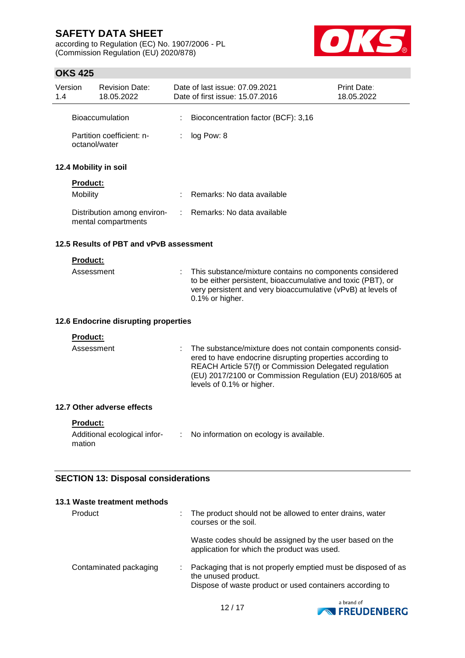according to Regulation (EC) No. 1907/2006 - PL (Commission Regulation (EU) 2020/878)



# **OKS 425**

| Version<br>1.4 |                 | <b>Revision Date:</b><br>18.05.2022                | Date of last issue: 07.09.2021<br>Date of first issue: 15.07.2016                                                                                                                                                                                                         | <b>Print Date:</b><br>18.05.2022 |
|----------------|-----------------|----------------------------------------------------|---------------------------------------------------------------------------------------------------------------------------------------------------------------------------------------------------------------------------------------------------------------------------|----------------------------------|
|                |                 | <b>Bioaccumulation</b>                             | Bioconcentration factor (BCF): 3,16                                                                                                                                                                                                                                       |                                  |
|                | octanol/water   | Partition coefficient: n-                          | log Pow: 8                                                                                                                                                                                                                                                                |                                  |
|                |                 | 12.4 Mobility in soil                              |                                                                                                                                                                                                                                                                           |                                  |
|                | <b>Product:</b> |                                                    |                                                                                                                                                                                                                                                                           |                                  |
|                | <b>Mobility</b> |                                                    | Remarks: No data available                                                                                                                                                                                                                                                |                                  |
|                |                 | Distribution among environ-<br>mental compartments | Remarks: No data available                                                                                                                                                                                                                                                |                                  |
|                |                 | 12.5 Results of PBT and vPvB assessment            |                                                                                                                                                                                                                                                                           |                                  |
|                | <b>Product:</b> |                                                    |                                                                                                                                                                                                                                                                           |                                  |
|                | Assessment      |                                                    | This substance/mixture contains no components considered<br>to be either persistent, bioaccumulative and toxic (PBT), or<br>very persistent and very bioaccumulative (vPvB) at levels of<br>0.1% or higher.                                                               |                                  |
|                |                 | 12.6 Endocrine disrupting properties               |                                                                                                                                                                                                                                                                           |                                  |
|                | <b>Product:</b> |                                                    |                                                                                                                                                                                                                                                                           |                                  |
|                | Assessment      |                                                    | The substance/mixture does not contain components consid-<br>ered to have endocrine disrupting properties according to<br>REACH Article 57(f) or Commission Delegated regulation<br>(EU) 2017/2100 or Commission Regulation (EU) 2018/605 at<br>levels of 0.1% or higher. |                                  |
|                |                 | 12.7 Other adverse effects                         |                                                                                                                                                                                                                                                                           |                                  |
|                | Product:        | Additional ecological infor-                       | No information on ecology is available.                                                                                                                                                                                                                                   |                                  |
|                | mation          |                                                    |                                                                                                                                                                                                                                                                           |                                  |
|                |                 | <b>SECTION 13: Disposal considerations</b>         |                                                                                                                                                                                                                                                                           |                                  |
|                |                 |                                                    |                                                                                                                                                                                                                                                                           |                                  |
|                |                 | 13.1 Waste treatment methods                       |                                                                                                                                                                                                                                                                           |                                  |
|                | Product         |                                                    | The product should not be allowed to enter drains, water<br>courses or the soil.                                                                                                                                                                                          |                                  |



Waste codes should be assigned by the user based on the

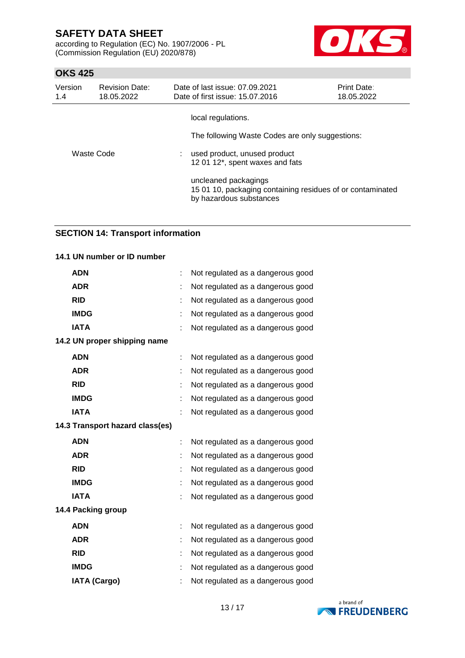according to Regulation (EC) No. 1907/2006 - PL (Commission Regulation (EU) 2020/878)



## **OKS 425**

| Version<br>1.4 | <b>Revision Date:</b><br>18.05.2022 | Date of last issue: 07.09.2021<br>Date of first issue: 15.07.2016                                                                        | <b>Print Date:</b><br>18.05.2022 |
|----------------|-------------------------------------|------------------------------------------------------------------------------------------------------------------------------------------|----------------------------------|
| Waste Code     |                                     | local regulations.<br>The following Waste Codes are only suggestions:<br>used product, unused product<br>12 01 12*, spent waxes and fats |                                  |
|                |                                     | uncleaned packagings<br>15 01 10, packaging containing residues of or contaminated<br>by hazardous substances                            |                                  |

### **SECTION 14: Transport information**

#### **14.1 UN number or ID number**

| <b>ADN</b>                      |   | Not regulated as a dangerous good |
|---------------------------------|---|-----------------------------------|
| <b>ADR</b>                      |   | Not regulated as a dangerous good |
| <b>RID</b>                      |   | Not regulated as a dangerous good |
| <b>IMDG</b>                     |   | Not regulated as a dangerous good |
| <b>IATA</b>                     |   | Not regulated as a dangerous good |
| 14.2 UN proper shipping name    |   |                                   |
| <b>ADN</b>                      |   | Not regulated as a dangerous good |
| <b>ADR</b>                      |   | Not regulated as a dangerous good |
| <b>RID</b>                      |   | Not regulated as a dangerous good |
| <b>IMDG</b>                     |   | Not regulated as a dangerous good |
| <b>IATA</b>                     |   | Not regulated as a dangerous good |
| 14.3 Transport hazard class(es) |   |                                   |
| <b>ADN</b>                      | t | Not regulated as a dangerous good |
| <b>ADR</b>                      |   | Not regulated as a dangerous good |
| <b>RID</b>                      |   | Not regulated as a dangerous good |
| <b>IMDG</b>                     |   | Not regulated as a dangerous good |
| <b>IATA</b>                     |   | Not regulated as a dangerous good |
| 14.4 Packing group              |   |                                   |
| <b>ADN</b>                      |   | Not regulated as a dangerous good |
| <b>ADR</b>                      |   | Not regulated as a dangerous good |
| <b>RID</b>                      |   | Not regulated as a dangerous good |
| <b>IMDG</b>                     |   | Not regulated as a dangerous good |
| <b>IATA (Cargo)</b>             |   | Not regulated as a dangerous good |

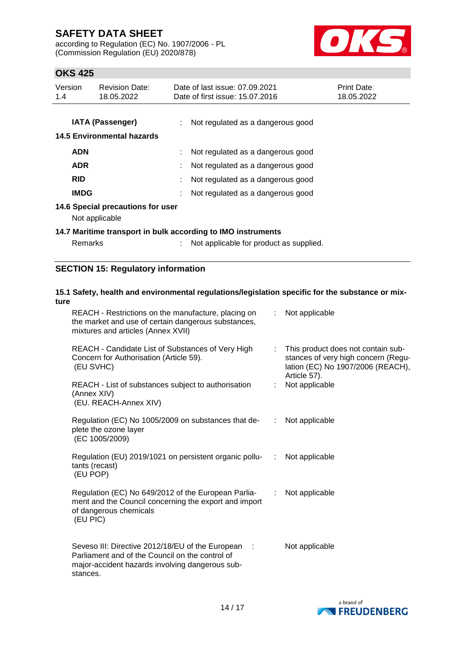according to Regulation (EC) No. 1907/2006 - PL (Commission Regulation (EU) 2020/878)



# **OKS 425**

| Version<br>1.4 | <b>Revision Date:</b><br>18.05.2022                   | Date of last issue: 07.09.2021<br>Date of first issue: 15.07.2016 | <b>Print Date:</b><br>18.05.2022 |
|----------------|-------------------------------------------------------|-------------------------------------------------------------------|----------------------------------|
|                | <b>IATA (Passenger)</b><br>14.5 Environmental hazards | Not regulated as a dangerous good                                 |                                  |
| <b>ADN</b>     |                                                       | Not regulated as a dangerous good                                 |                                  |
| <b>ADR</b>     |                                                       | Not regulated as a dangerous good                                 |                                  |
| <b>RID</b>     |                                                       | Not regulated as a dangerous good                                 |                                  |
| <b>IMDG</b>    |                                                       | Not regulated as a dangerous good                                 |                                  |
|                | 14.6 Special precautions for user<br>Not applicable   |                                                                   |                                  |

### **14.7 Maritime transport in bulk according to IMO instruments**

Remarks : Not applicable for product as supplied.

### **SECTION 15: Regulatory information**

## **15.1 Safety, health and environmental regulations/legislation specific for the substance or mixture**

| REACH - Restrictions on the manufacture, placing on<br>the market and use of certain dangerous substances,<br>mixtures and articles (Annex XVII)                     | Not applicable                                                                                                                       |  |
|----------------------------------------------------------------------------------------------------------------------------------------------------------------------|--------------------------------------------------------------------------------------------------------------------------------------|--|
| REACH - Candidate List of Substances of Very High<br>Concern for Authorisation (Article 59).<br>(EU SVHC)                                                            | This product does not contain sub-<br>t.<br>stances of very high concern (Regu-<br>lation (EC) No 1907/2006 (REACH),<br>Article 57). |  |
| REACH - List of substances subject to authorisation<br>(Annex XIV)<br>(EU. REACH-Annex XIV)                                                                          | Not applicable                                                                                                                       |  |
| Regulation (EC) No 1005/2009 on substances that de-<br>plete the ozone layer<br>(EC 1005/2009)                                                                       | Not applicable<br>÷                                                                                                                  |  |
| Regulation (EU) 2019/1021 on persistent organic pollu-<br>tants (recast)<br>(EU POP)                                                                                 | Not applicable<br>÷                                                                                                                  |  |
| Regulation (EC) No 649/2012 of the European Parlia-<br>ment and the Council concerning the export and import<br>of dangerous chemicals<br>(EU PIC)                   | Not applicable<br>÷                                                                                                                  |  |
| Seveso III: Directive 2012/18/EU of the European :<br>Parliament and of the Council on the control of<br>major-accident hazards involving dangerous sub-<br>stances. | Not applicable                                                                                                                       |  |

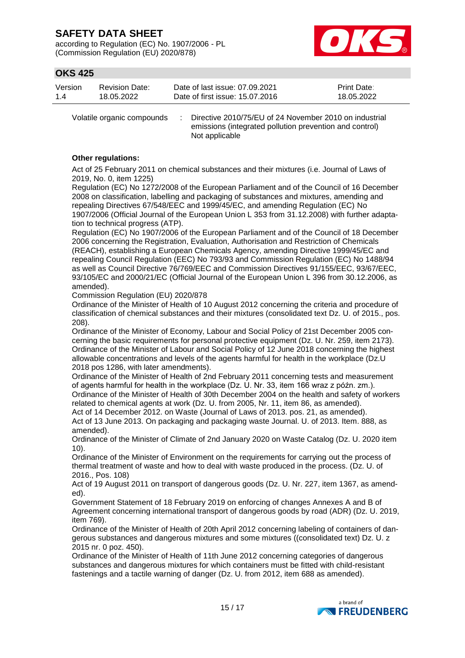according to Regulation (EC) No. 1907/2006 - PL (Commission Regulation (EU) 2020/878)



# **OKS 425**

| Version | Revision Date: | Date of last issue: 07.09.2021  | <b>Print Date:</b> |
|---------|----------------|---------------------------------|--------------------|
| 1.4     | 18.05.2022     | Date of first issue: 15.07.2016 | 18.05.2022         |

Volatile organic compounds : Directive 2010/75/EU of 24 November 2010 on industrial emissions (integrated pollution prevention and control) Not applicable

#### **Other regulations:**

Act of 25 February 2011 on chemical substances and their mixtures (i.e. Journal of Laws of 2019, No. 0, item 1225)

Regulation (EC) No 1272/2008 of the European Parliament and of the Council of 16 December 2008 on classification, labelling and packaging of substances and mixtures, amending and repealing Directives 67/548/EEC and 1999/45/EC, and amending Regulation (EC) No 1907/2006 (Official Journal of the European Union L 353 from 31.12.2008) with further adaptation to technical progress (ATP).

Regulation (EC) No 1907/2006 of the European Parliament and of the Council of 18 December 2006 concerning the Registration, Evaluation, Authorisation and Restriction of Chemicals (REACH), establishing a European Chemicals Agency, amending Directive 1999/45/EC and repealing Council Regulation (EEC) No 793/93 and Commission Regulation (EC) No 1488/94 as well as Council Directive 76/769/EEC and Commission Directives 91/155/EEC, 93/67/EEC, 93/105/EC and 2000/21/EC (Official Journal of the European Union L 396 from 30.12.2006, as amended).

Commission Regulation (EU) 2020/878

Ordinance of the Minister of Health of 10 August 2012 concerning the criteria and procedure of classification of chemical substances and their mixtures (consolidated text Dz. U. of 2015., pos. 208).

Ordinance of the Minister of Economy, Labour and Social Policy of 21st December 2005 concerning the basic requirements for personal protective equipment (Dz. U. Nr. 259, item 2173). Ordinance of the Minister of Labour and Social Policy of 12 June 2018 concerning the highest allowable concentrations and levels of the agents harmful for health in the workplace (Dz.U 2018 pos 1286, with later amendments).

Ordinance of the Minister of Health of 2nd February 2011 concerning tests and measurement of agents harmful for health in the workplace (Dz. U. Nr. 33, item 166 wraz z późn. zm.). Ordinance of the Minister of Health of 30th December 2004 on the health and safety of workers related to chemical agents at work (Dz. U. from 2005, Nr. 11, item 86, as amended).

Act of 14 December 2012. on Waste (Journal of Laws of 2013. pos. 21, as amended). Act of 13 June 2013. On packaging and packaging waste Journal. U. of 2013. Item. 888, as amended).

Ordinance of the Minister of Climate of 2nd January 2020 on Waste Catalog (Dz. U. 2020 item 10).

Ordinance of the Minister of Environment on the requirements for carrying out the process of thermal treatment of waste and how to deal with waste produced in the process. (Dz. U. of 2016., Pos. 108)

Act of 19 August 2011 on transport of dangerous goods (Dz. U. Nr. 227, item 1367, as amended).

Government Statement of 18 February 2019 on enforcing of changes Annexes A and B of Agreement concerning international transport of dangerous goods by road (ADR) (Dz. U. 2019, item 769).

Ordinance of the Minister of Health of 20th April 2012 concerning labeling of containers of dangerous substances and dangerous mixtures and some mixtures ((consolidated text) Dz. U. z 2015 nr. 0 poz. 450).

Ordinance of the Minister of Health of 11th June 2012 concerning categories of dangerous substances and dangerous mixtures for which containers must be fitted with child-resistant fastenings and a tactile warning of danger (Dz. U. from 2012, item 688 as amended).

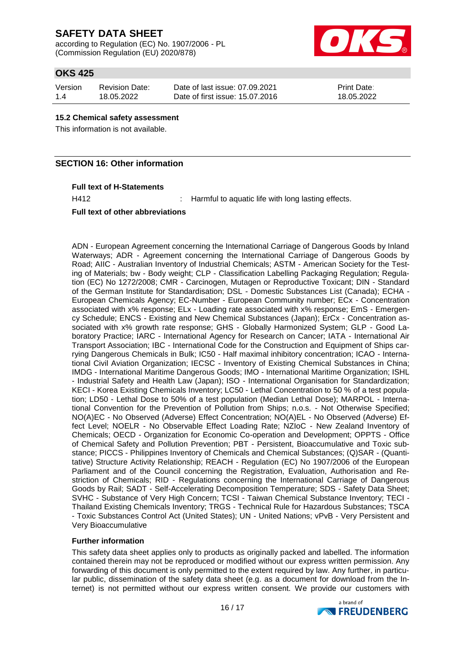according to Regulation (EC) No. 1907/2006 - PL (Commission Regulation (EU) 2020/878)



# **OKS 425**

| Version | <b>Revision Date:</b> | Date of last issue: 07.09.2021  | <b>Print Date:</b> |
|---------|-----------------------|---------------------------------|--------------------|
| 1.4     | 18.05.2022            | Date of first issue: 15.07.2016 | 18.05.2022         |

#### **15.2 Chemical safety assessment**

This information is not available.

## **SECTION 16: Other information**

#### **Full text of H-Statements**

H412 : Harmful to aquatic life with long lasting effects.

#### **Full text of other abbreviations**

ADN - European Agreement concerning the International Carriage of Dangerous Goods by Inland Waterways; ADR - Agreement concerning the International Carriage of Dangerous Goods by Road; AIIC - Australian Inventory of Industrial Chemicals; ASTM - American Society for the Testing of Materials; bw - Body weight; CLP - Classification Labelling Packaging Regulation; Regulation (EC) No 1272/2008; CMR - Carcinogen, Mutagen or Reproductive Toxicant; DIN - Standard of the German Institute for Standardisation; DSL - Domestic Substances List (Canada); ECHA - European Chemicals Agency; EC-Number - European Community number; ECx - Concentration associated with x% response; ELx - Loading rate associated with x% response; EmS - Emergency Schedule; ENCS - Existing and New Chemical Substances (Japan); ErCx - Concentration associated with x% growth rate response; GHS - Globally Harmonized System; GLP - Good Laboratory Practice; IARC - International Agency for Research on Cancer; IATA - International Air Transport Association; IBC - International Code for the Construction and Equipment of Ships carrying Dangerous Chemicals in Bulk; IC50 - Half maximal inhibitory concentration; ICAO - International Civil Aviation Organization; IECSC - Inventory of Existing Chemical Substances in China; IMDG - International Maritime Dangerous Goods; IMO - International Maritime Organization; ISHL - Industrial Safety and Health Law (Japan); ISO - International Organisation for Standardization; KECI - Korea Existing Chemicals Inventory; LC50 - Lethal Concentration to 50 % of a test population; LD50 - Lethal Dose to 50% of a test population (Median Lethal Dose); MARPOL - International Convention for the Prevention of Pollution from Ships; n.o.s. - Not Otherwise Specified; NO(A)EC - No Observed (Adverse) Effect Concentration; NO(A)EL - No Observed (Adverse) Effect Level; NOELR - No Observable Effect Loading Rate; NZIoC - New Zealand Inventory of Chemicals; OECD - Organization for Economic Co-operation and Development; OPPTS - Office of Chemical Safety and Pollution Prevention; PBT - Persistent, Bioaccumulative and Toxic substance; PICCS - Philippines Inventory of Chemicals and Chemical Substances; (Q)SAR - (Quantitative) Structure Activity Relationship; REACH - Regulation (EC) No 1907/2006 of the European Parliament and of the Council concerning the Registration, Evaluation, Authorisation and Restriction of Chemicals; RID - Regulations concerning the International Carriage of Dangerous Goods by Rail; SADT - Self-Accelerating Decomposition Temperature; SDS - Safety Data Sheet; SVHC - Substance of Very High Concern; TCSI - Taiwan Chemical Substance Inventory; TECI - Thailand Existing Chemicals Inventory; TRGS - Technical Rule for Hazardous Substances; TSCA - Toxic Substances Control Act (United States); UN - United Nations; vPvB - Very Persistent and Very Bioaccumulative

### **Further information**

This safety data sheet applies only to products as originally packed and labelled. The information contained therein may not be reproduced or modified without our express written permission. Any forwarding of this document is only permitted to the extent required by law. Any further, in particular public, dissemination of the safety data sheet (e.g. as a document for download from the Internet) is not permitted without our express written consent. We provide our customers with